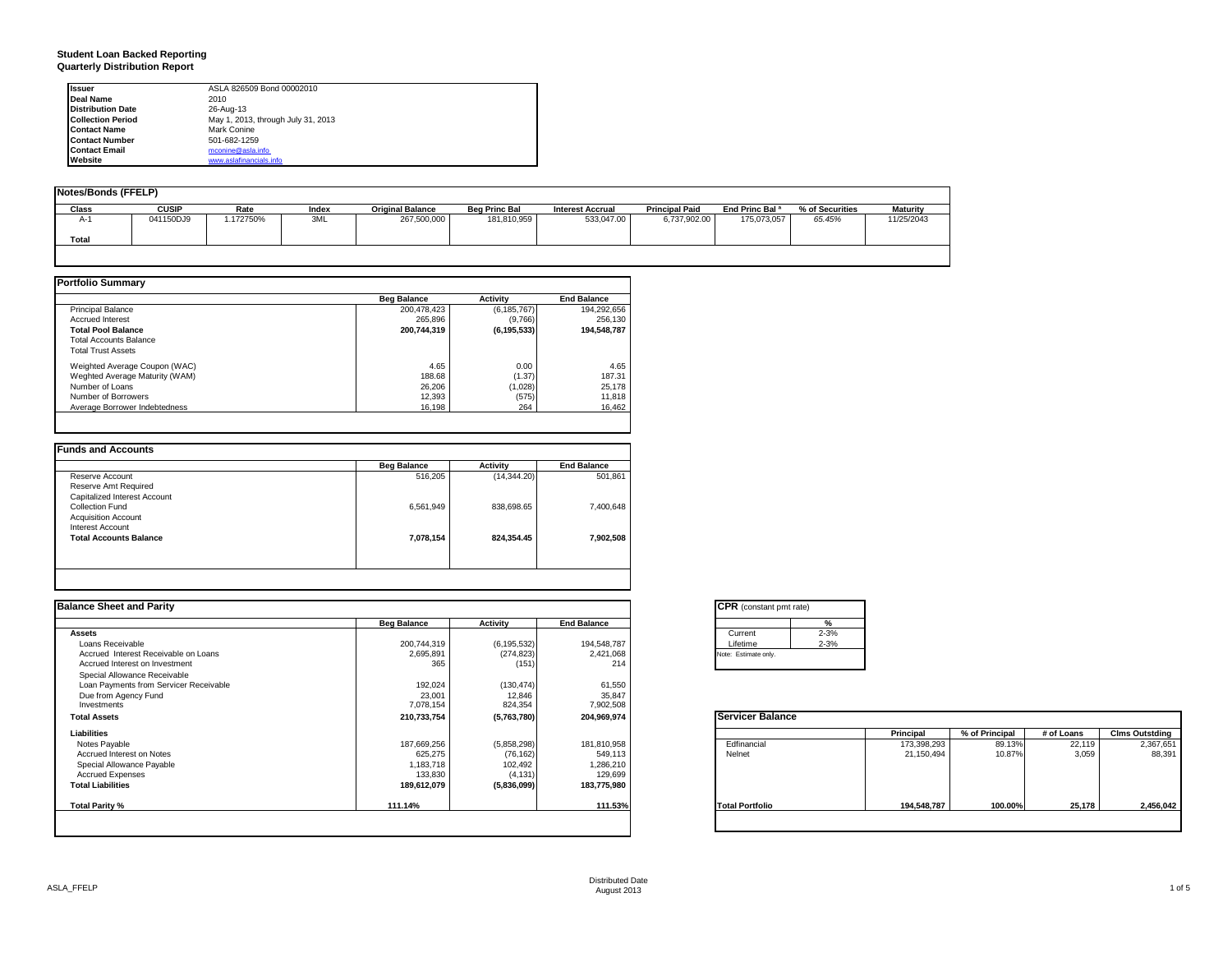# **Student Loan Backed Reporting Quarterly Distribution Report**

| <b>Issuer</b>            | ASLA 826509 Bond 00002010          |  |
|--------------------------|------------------------------------|--|
| Deal Name                | 2010                               |  |
| <b>Distribution Date</b> | 26-Aug-13                          |  |
| <b>Collection Period</b> | May 1, 2013, through July 31, 2013 |  |
| <b>Contact Name</b>      | Mark Conine                        |  |
| <b>Contact Number</b>    | 501-682-1259                       |  |
| <b>Contact Email</b>     | mconine@asla.info                  |  |
| Website                  | www.aslafinancials.info            |  |

| <b>Notes/Bonds (FFELP)</b> |              |          |       |                         |                      |                         |                       |                            |                 |            |
|----------------------------|--------------|----------|-------|-------------------------|----------------------|-------------------------|-----------------------|----------------------------|-----------------|------------|
| Class                      | <b>CUSIP</b> | Rate     | Index | <b>Original Balance</b> | <b>Beg Princ Bal</b> | <b>Interest Accrual</b> | <b>Principal Paid</b> | End Princ Bal <sup>a</sup> | % of Securities | Maturity   |
| $A-1$<br>Total             | 041150DJ9    | .172750% | 3ML   | 267,500,000             | 181,810,959          | 533,047.00              | 6,737,902.00          | 175,073,057                | 65.45%          | 11/25/2043 |
|                            |              |          |       |                         |                      |                         |                       |                            |                 |            |

|                                | <b>Beg Balance</b> | <b>Activity</b> | <b>End Balance</b> |
|--------------------------------|--------------------|-----------------|--------------------|
| <b>Principal Balance</b>       | 200,478,423        | (6, 185, 767)   | 194,292,656        |
| <b>Accrued Interest</b>        | 265.896            | (9,766)         | 256.130            |
| <b>Total Pool Balance</b>      | 200,744,319        | (6, 195, 533)   | 194,548,787        |
| <b>Total Accounts Balance</b>  |                    |                 |                    |
| <b>Total Trust Assets</b>      |                    |                 |                    |
| Weighted Average Coupon (WAC)  | 4.65               | 0.00            | 4.65               |
| Weghted Average Maturity (WAM) | 188.68             | (1.37)          | 187.31             |
| Number of Loans                | 26,206             | (1,028)         | 25,178             |
| Number of Borrowers            | 12,393             | (575)           | 11,818             |
| Average Borrower Indebtedness  | 16.198             | 264             | 16.462             |

|                               | <b>Beg Balance</b> | <b>Activity</b> | <b>End Balance</b> |
|-------------------------------|--------------------|-----------------|--------------------|
| Reserve Account               | 516,205            | (14, 344.20)    | 501,861            |
| Reserve Amt Required          |                    |                 |                    |
| Capitalized Interest Account  |                    |                 |                    |
| <b>Collection Fund</b>        | 6,561,949          | 838,698.65      | 7,400,648          |
| <b>Acquisition Account</b>    |                    |                 |                    |
| <b>Interest Account</b>       |                    |                 |                    |
| <b>Total Accounts Balance</b> | 7,078,154          | 824,354.45      | 7,902,508          |
|                               |                    |                 |                    |

| <b>Balance Sheet and Parity</b>        |                    |               |                    | <b>CPR</b> (constant pmt rate) |             |                |            |                       |
|----------------------------------------|--------------------|---------------|--------------------|--------------------------------|-------------|----------------|------------|-----------------------|
|                                        | <b>Beg Balance</b> | Activity      | <b>End Balance</b> | %                              |             |                |            |                       |
| <b>Assets</b>                          |                    |               |                    | $2 - 3%$<br>Current            |             |                |            |                       |
| Loans Receivable                       | 200,744,319        | (6, 195, 532) | 194,548,787        | $2 - 3%$<br>Lifetime           |             |                |            |                       |
| Accrued Interest Receivable on Loans   | 2,695,891          | (274, 823)    | 2,421,068          | Note: Estimate only.           |             |                |            |                       |
| Accrued Interest on Investment         | 365                | (151)         | 214                |                                |             |                |            |                       |
| Special Allowance Receivable           |                    |               |                    |                                |             |                |            |                       |
| Loan Payments from Servicer Receivable | 192,024            | (130, 474)    | 61,550             |                                |             |                |            |                       |
| Due from Agency Fund                   | 23,001             | 12,846        | 35,847             |                                |             |                |            |                       |
| Investments                            | 7,078,154          | 824,354       | 7,902,508          |                                |             |                |            |                       |
| <b>Total Assets</b>                    | 210,733,754        | (5,763,780)   | 204,969,974        | Servicer Balance               |             |                |            |                       |
| Liabilities                            |                    |               |                    |                                | Principal   | % of Principal | # of Loans | <b>Clms Outstding</b> |
| Notes Payable                          | 187,669,256        | (5,858,298)   | 181,810,958        | Edfinancial                    | 173,398,293 | 89.13%         | 22,119     | 2,367,651             |
| Accrued Interest on Notes              | 625,275            | (76, 162)     | 549,113            | Nelnet                         | 21,150,494  | 10.87%         | 3,059      | 88,391                |
| Special Allowance Payable              | 1,183,718          | 102,492       | 1,286,210          |                                |             |                |            |                       |
| <b>Accrued Expenses</b>                | 133,830            | (4, 131)      | 129,699            |                                |             |                |            |                       |
| <b>Total Liabilities</b>               | 189,612,079        | (5,836,099)   | 183,775,980        |                                |             |                |            |                       |
| Total Parity %                         | 111.14%            |               | 111.53%            | <b>Total Portfolio</b>         | 194,548,787 | 100.00%        | 25,178     | 2,456,042             |
|                                        |                    |               |                    |                                |             |                |            |                       |
|                                        |                    |               |                    |                                |             |                |            |                       |

|          | %        |
|----------|----------|
| Current  | $2 - 3%$ |
| Lifetime | $2 - 3%$ |

|                        | Principal   | % of Principal | # of Loans | <b>Clms Outstding</b> |
|------------------------|-------------|----------------|------------|-----------------------|
| Edfinancial            | 173,398,293 | 89.13%         | 22.119     | 2,367,651             |
| Nelnet                 | 21,150,494  | 10.87%         | 3.059      | 88,391                |
| <b>Total Portfolio</b> | 194,548,787 | 100.00%        | 25,178     | 2,456,042             |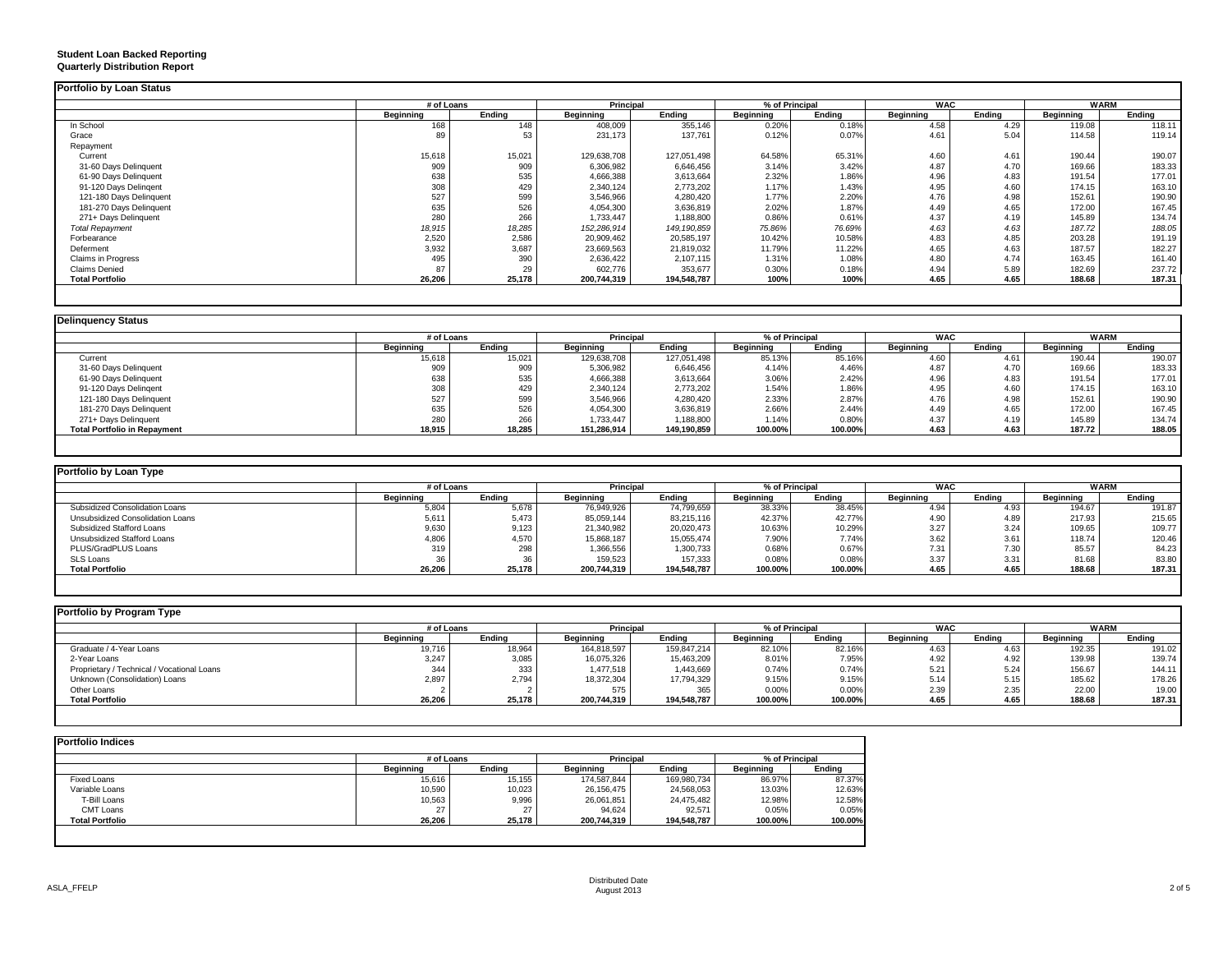## **Student Loan Backed Reporting Quarterly Distribution Report**

|                         | # of Loans |        | <b>Principal</b> |               | % of Principal |        | <b>WAC</b> |        | <b>WARM</b> |        |
|-------------------------|------------|--------|------------------|---------------|----------------|--------|------------|--------|-------------|--------|
|                         | Beginning  | Ending | Beginning        | Ending        | Beginning      | Ending | Beginning  | Ending | Beginning   | Ending |
| In School               | 168        | 148    | 408,009          | 355,146       | 0.20%          | 0.18%  | 4.58       | 4.29   | 119.08      | 118.11 |
| Grace                   | 89         | 53     | 231,173          | 137,761       | 0.12%          | 0.07%  | 4.61       | 5.04   | 114.58      | 119.14 |
| Repayment               |            |        |                  |               |                |        |            |        |             |        |
| Current                 | 15,618     | 15,021 | 129,638,708      | 127.051.498   | 64.58%         | 65.31% | 4.60       | 4.61   | 190.44      | 190.07 |
| 31-60 Days Delinquent   | 909        | 909    | 6,306,982        | 6,646,456     | 3.14%          | 3.42%  | 4.87       | 4.70   | 169.66      | 183.33 |
| 61-90 Days Delinquent   | 638        | 535    | 4,666,388        | 3,613,664     | 2.32%          | 1.86%  | 4.96       | 4.83   | 191.54      | 177.01 |
| 91-120 Days Delingent   | 308        | 429    | 2,340,124        | 2,773,202     | 1.17%          | 1.43%  | 4.95       | 4.60   | 174.15      | 163.10 |
| 121-180 Days Delinquent | 527        | 599    | 3,546,966        | 4,280,420     | 1.77%          | 2.20%  | 4.76       | 4.98   | 152.61      | 190.90 |
| 181-270 Days Delinquent | 635        | 526    | 4,054,300        | 3,636,819     | 2.02%          | 1.87%  | 4.49       | 4.65   | 172.00      | 167.45 |
| 271+ Days Delinquent    | 280        | 266    | 1,733,447        | 1,188,800     | 0.86%          | 0.61%  | 4.37       | 4.19   | 145.89      | 134.74 |
| <b>Total Repayment</b>  | 18,915     | 18,285 | 152,286,914      | 149, 190, 859 | 75.86%         | 76.69% | 4.63       | 4.63   | 187.72      | 188.05 |
| Forbearance             | 2,520      | 2,586  | 20,909,462       | 20,585,197    | 10.42%         | 10.58% | 4.83       | 4.85   | 203.28      | 191.19 |
| Deferment               | 3,932      | 3,687  | 23,669,563       | 21,819,032    | 11.79%         | 11.22% | 4.65       | 4.63   | 187.57      | 182.27 |
| Claims in Progress      | 495        | 390    | 2,636,422        | 2,107,115     | 1.31%          | 1.08%  | 4.80       | 4.74   | 163.45      | 161.40 |
| <b>Claims Denied</b>    | 87         | 29     | 602,776          | 353,677       | 0.30%          | 0.18%  | 4.94       | 5.89   | 182.69      | 237.72 |
| <b>Total Portfolio</b>  | 26,206     | 25,178 | 200,744,319      | 194,548,787   | 100%           | 100%   | 4.65       | 4.65   | 188.68      | 187.31 |

|                                     | # of Loans |        | % of Principal<br>Principal |             |           | <b>WAC</b> |           | <b>WARM</b> |                  |        |
|-------------------------------------|------------|--------|-----------------------------|-------------|-----------|------------|-----------|-------------|------------------|--------|
|                                     | Beginning  | Ending | Beginning                   | Ending      | Beginning | Endina     | Beginning | Endina      | <b>Beginning</b> | Ending |
| Current                             | 15,618     | 15,021 | 129,638,708                 | 127,051,498 | 85.13%    | 85.16%     | 4.60      | 4.61        | 190.44           | 190.07 |
| 31-60 Days Delinquent               | 909        | 909    | 5,306,982                   | 6,646,456   | 4.14%     | 4.46%      | 4.87      | 4.70        | 169.66           | 183.33 |
| 61-90 Days Delinquent               | 638        | 535    | 4,666,388                   | 3,613,664   | 3.06%     | 2.42%      | 4.96      | 4.83        | 191.54           | 177.01 |
| 91-120 Days Delingent               | 308        | 429    | 2,340,124                   | 2,773,202   | 1.54%     | 1.86%      | 4.95      | 4.60        | 174.15           | 163.10 |
| 121-180 Days Delinquent             | 527        | 599    | 3,546,966                   | 4,280,420   | 2.33%     | 2.87%      | 4.76      | 4.98        | 152.61           | 190.90 |
| 181-270 Days Delinquent             | 635        | 526    | 4,054,300                   | 3,636,819   | 2.66%     | 2.44%      | 4.49      | 4.65        | 172.00           | 167.45 |
| 271+ Days Delinquent                | 280        | 266    | 1,733,447                   | 1,188,800   | 1.14%     | 0.80%      | 4.37      | 4.19        | 145.89           | 134.74 |
| <b>Total Portfolio in Repayment</b> | 18.915     | 18,285 | 151,286,914                 | 149,190,859 | 100.00%   | 100.00%    | 4.63      | 4.63        | 187.72           | 188.05 |

| Portfolio by Loan Type           |            |        |             |                  |           |                |            |        |                  |             |
|----------------------------------|------------|--------|-------------|------------------|-----------|----------------|------------|--------|------------------|-------------|
|                                  | # of Loans |        |             | <b>Principal</b> |           | % of Principal | <b>WAC</b> |        |                  | <b>WARM</b> |
|                                  | Beainnina  | Endina | Beainnina   | Endina           | Beainnina | Endina         | Beainnina  | Ending | <b>Beainning</b> | Endina      |
| Subsidized Consolidation Loans   | 5,804      | 5,678  | 76,949,926  | 74,799,659       | 38.33%    | 38.45%         | 4.94       | 4.93   | 194.67           | 191.87      |
| Unsubsidized Consolidation Loans | 5,611      | 5,473  | 85,059,144  | 83,215,116       | 42.37%    | 42.77%         | 4.90       | 4.89   | 217.93           | 215.65      |
| Subsidized Stafford Loans        | 9,630      | 9,123  | 21,340,982  | 20,020,473       | 10.63%    | 10.29%         | 3.27       | 3.24   | 109.65           | 109.77      |
| Unsubsidized Stafford Loans      | 4,806      | 4.570  | 15,868,187  | 15,055,474       | 7.90%     | 7.74%          | 3.62       | 3.61   | 118.74           | 120.46      |
| PLUS/GradPLUS Loans              |            | 298    | 1,366,556   | 1,300,733        | 0.68%     | 0.67%          | 7.31       | 7.30   | 85.57            | 84.23       |
| SLS Loans                        |            | 36     | 159,523     | 157,333          | 0.08%     | 0.08%          | 3.37       | 3.31   | 81.68            | 83.80       |
| <b>Total Portfolio</b>           | 26,206     | 25,178 | 200,744,319 | 194.548.787      | 100.00%   | 100.00%        | 4.65       | 4.65   | 188.68           | 187.31      |

| Portfolio by Program Type                  |                  |        |                                    |             |                  |         |                  |             |                  |        |
|--------------------------------------------|------------------|--------|------------------------------------|-------------|------------------|---------|------------------|-------------|------------------|--------|
|                                            | # of Loans       |        | <b>Principal</b><br>% of Principal |             |                  | <br>WAC |                  | <b>WARM</b> |                  |        |
|                                            | <b>Beginning</b> | Endina | <b>Beginning</b>                   | Endina      | <b>Beainning</b> | Endina  | <b>Beginning</b> | Endina      | <b>Beginning</b> | Ending |
| Graduate / 4-Year Loans                    | 19,716           | 18,964 | 164,818,597                        | 159,847,214 | 82.10%           | 82.16%  | 4.63             | 4.63        | 192.35           | 191.02 |
| 2-Year Loans                               | 3,247            | 3,085  | 16,075,326                         | 15,463,209  | 8.01%            | 7.95%   | 4.92             | 4.92        | 139.98           | 139.74 |
| Proprietary / Technical / Vocational Loans | 344              | 333    | 1,477,518                          | 1,443,669   | 0.74%            | 0.74%   | 5.21             | 5.24        | 156.67           | 144.11 |
| Unknown (Consolidation) Loans              | 2.897            | 2.794  | 18.372.304                         | 17.794.329  | 9.15%            | 9.15%   | 5.14             | 5.15        | 185.62           | 178.26 |
| Other Loans                                |                  |        | 575                                | 365         | 0.00%            | 0.00%   | 2.39             | 2.35        | 22.00            | 19.00  |
| <b>Total Portfolio</b>                     | 26.206           | 25.178 | 200.744.319                        | 194.548.787 | 100.00%          | 100.00% | 4.65             | 4.65        | 188.68           | 187.31 |

|                        | # of Loans       |        | <b>Principal</b> |             | % of Principal   |         |  |
|------------------------|------------------|--------|------------------|-------------|------------------|---------|--|
|                        | <b>Beginning</b> | Endina | <b>Beginning</b> | Endina      | <b>Beginning</b> | Endina  |  |
| Fixed Loans            | 15,616           | 15,155 | 174,587,844      | 169,980,734 | 86.97%           | 87.37%  |  |
| Variable Loans         | 10,590           | 10,023 | 26,156,475       | 24,568,053  | 13.03%           | 12.63%  |  |
| T-Bill Loans           | 10,563           | 9,996  | 26,061,851       | 24,475,482  | 12.98%           | 12.58%  |  |
| <b>CMT Loans</b>       | 27               | 27     | 94,624           | 92.571      | 0.05%            | 0.05%   |  |
| <b>Total Portfolio</b> | 26,206           | 25.178 | 200,744,319      | 194,548,787 | 100.00%          | 100.00% |  |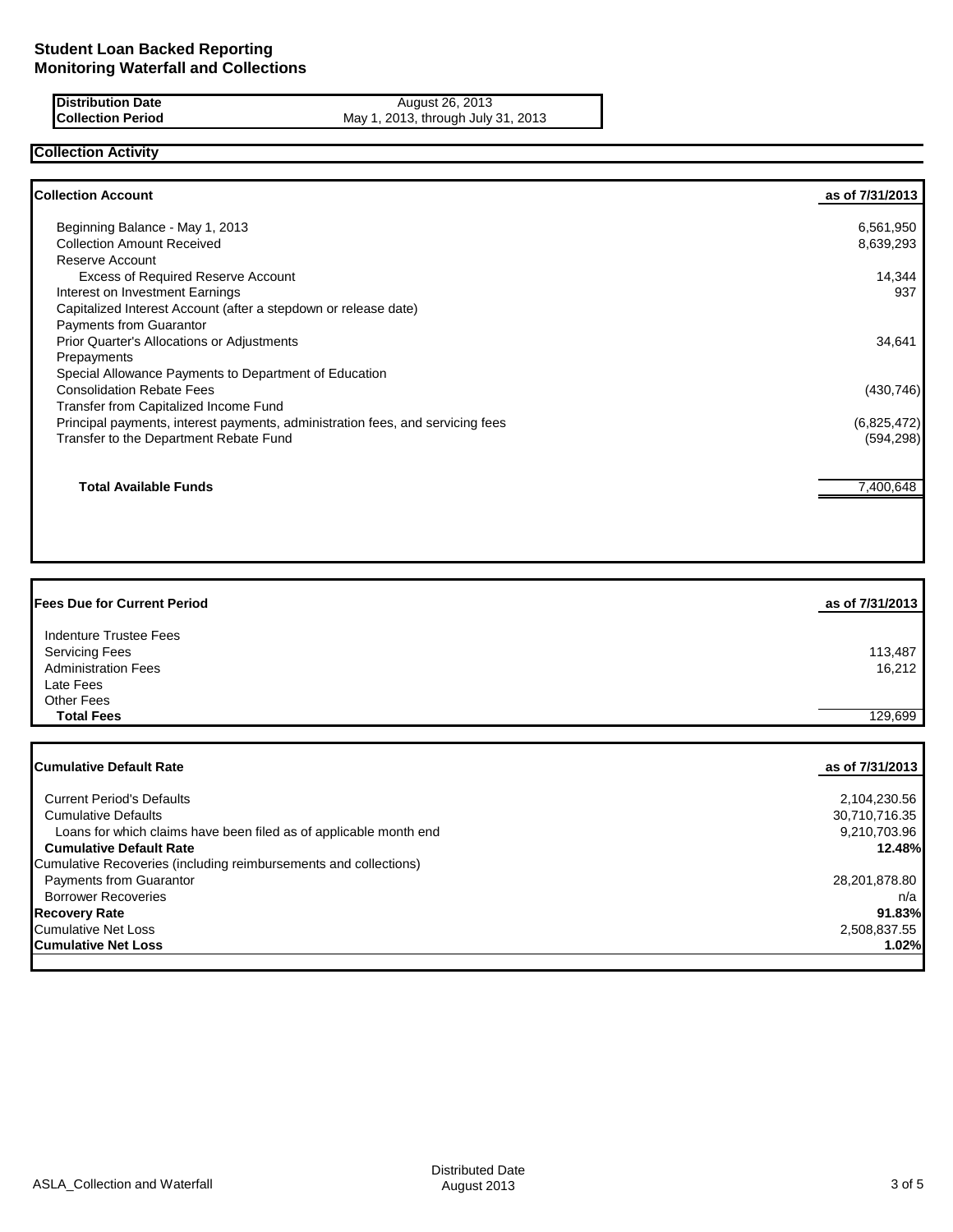#### **Distribution Date August 26, 2013 Collection Period** May 1, 2013, through July 31, 2013

## **Collection Activity**

| <b>Collection Account</b>                                                      | as of 7/31/2013 |
|--------------------------------------------------------------------------------|-----------------|
| Beginning Balance - May 1, 2013                                                | 6,561,950       |
| <b>Collection Amount Received</b>                                              | 8,639,293       |
| Reserve Account                                                                |                 |
| <b>Excess of Required Reserve Account</b>                                      | 14,344          |
| Interest on Investment Earnings                                                | 937             |
| Capitalized Interest Account (after a stepdown or release date)                |                 |
| Payments from Guarantor                                                        |                 |
| Prior Quarter's Allocations or Adjustments                                     | 34,641          |
| Prepayments                                                                    |                 |
| Special Allowance Payments to Department of Education                          |                 |
| <b>Consolidation Rebate Fees</b>                                               | (430, 746)      |
| Transfer from Capitalized Income Fund                                          |                 |
| Principal payments, interest payments, administration fees, and servicing fees | (6,825,472)     |
| Transfer to the Department Rebate Fund                                         | (594, 298)      |
| <b>Total Available Funds</b>                                                   | 7,400,648       |
|                                                                                |                 |

| <b>Fees Due for Current Period</b> | as of 7/31/2013 |
|------------------------------------|-----------------|
| Indenture Trustee Fees             |                 |
| <b>Servicing Fees</b>              | 113,487         |
| <b>Administration Fees</b>         | 16.212          |
| Late Fees                          |                 |
| <b>Other Fees</b>                  |                 |
| <b>Total Fees</b>                  | 129,699         |

| as of 7/31/2013 |
|-----------------|
|                 |
| 2,104,230.56    |
| 30,710,716.35   |
| 9,210,703.96    |
| 12.48%          |
|                 |
| 28,201,878.80   |
| n/a             |
| 91.83%          |
| 2,508,837.55    |
| 1.02%           |
|                 |

ASLA\_Collection and Waterfall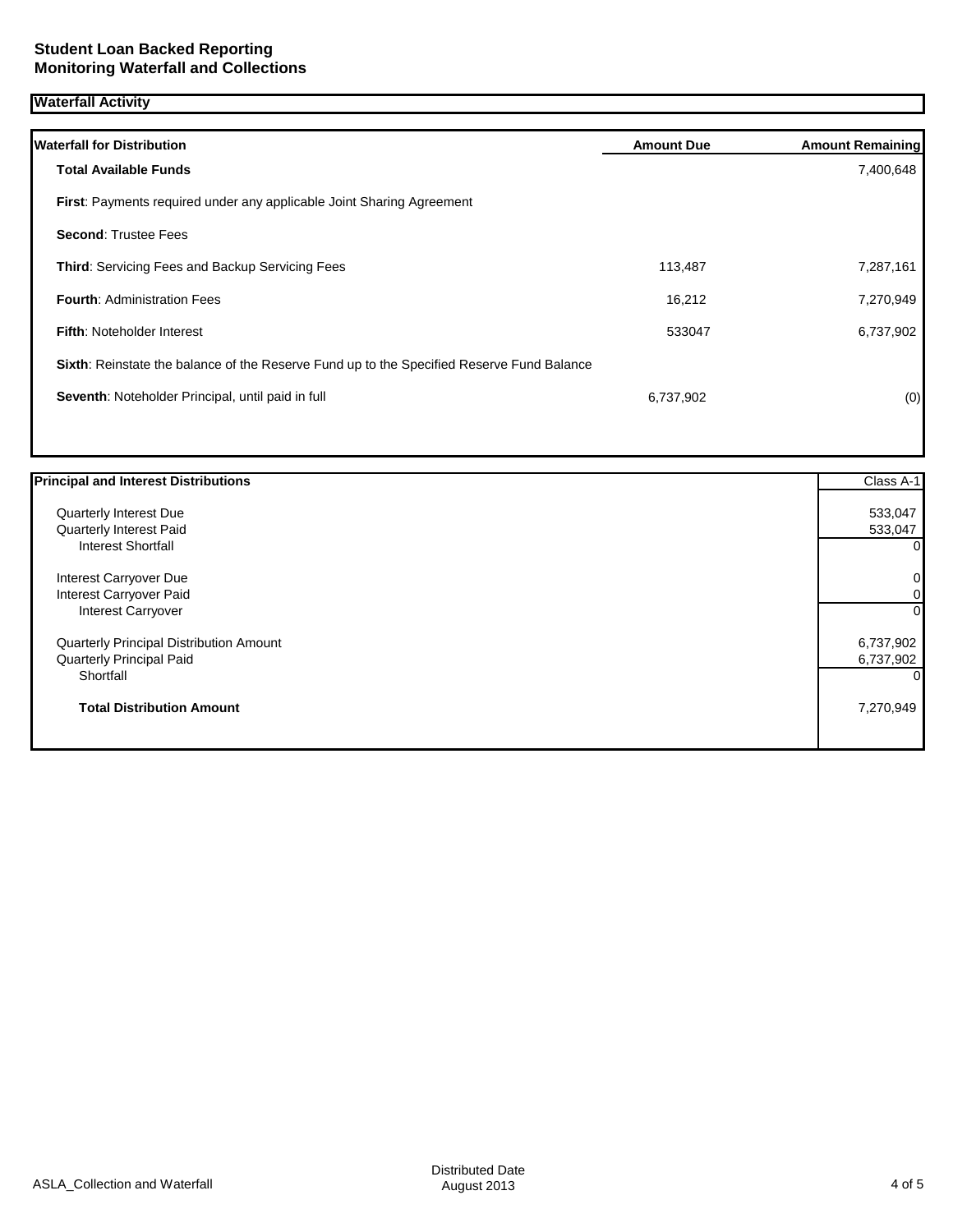### **Waterfall Activity**

| <b>Waterfall for Distribution</b>                                                         | <b>Amount Due</b> | <b>Amount Remaining</b> |
|-------------------------------------------------------------------------------------------|-------------------|-------------------------|
| <b>Total Available Funds</b>                                                              |                   | 7,400,648               |
| First: Payments required under any applicable Joint Sharing Agreement                     |                   |                         |
| <b>Second: Trustee Fees</b>                                                               |                   |                         |
| <b>Third: Servicing Fees and Backup Servicing Fees</b>                                    | 113,487           | 7,287,161               |
| <b>Fourth: Administration Fees</b>                                                        | 16,212            | 7,270,949               |
| Fifth: Noteholder Interest                                                                | 533047            | 6,737,902               |
| Sixth: Reinstate the balance of the Reserve Fund up to the Specified Reserve Fund Balance |                   |                         |
| Seventh: Noteholder Principal, until paid in full                                         | 6,737,902         | (0)                     |
|                                                                                           |                   |                         |

| <b>Principal and Interest Distributions</b> | Class A-1 |
|---------------------------------------------|-----------|
| <b>Quarterly Interest Due</b>               | 533,047   |
| Quarterly Interest Paid                     | 533,047   |
| <b>Interest Shortfall</b>                   | 0         |
| Interest Carryover Due                      | 0         |
| Interest Carryover Paid                     | 0         |
| Interest Carryover                          | 0         |
| Quarterly Principal Distribution Amount     | 6,737,902 |
| Quarterly Principal Paid                    | 6,737,902 |
| Shortfall                                   | 0         |
| <b>Total Distribution Amount</b>            | 7,270,949 |
|                                             |           |